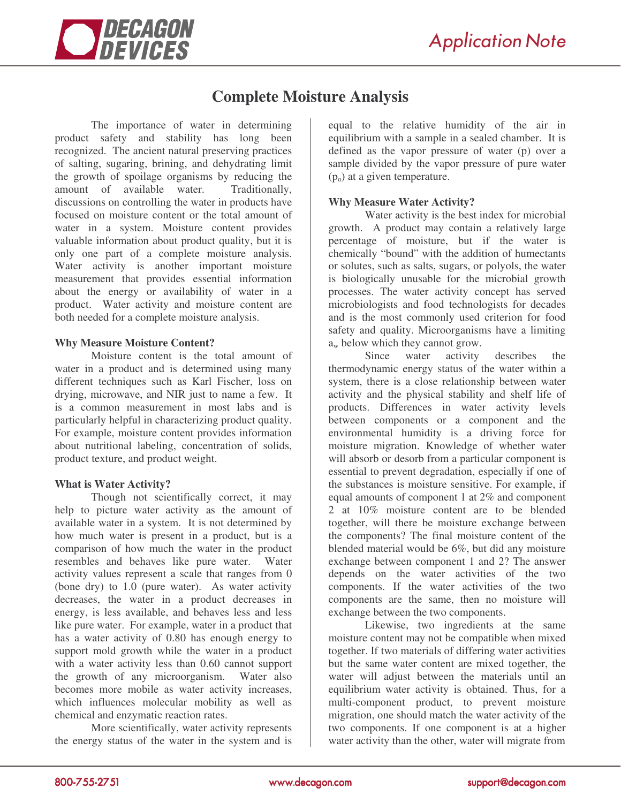

# **Complete Moisture Analysis**

The importance of water in determining product safety and stability has long been recognized. The ancient natural preserving practices of salting, sugaring, brining, and dehydrating limit the growth of spoilage organisms by reducing the amount of available water. Traditionally, discussions on controlling the water in products have focused on moisture content or the total amount of water in a system. Moisture content provides valuable information about product quality, but it is only one part of a complete moisture analysis. Water activity is another important moisture measurement that provides essential information about the energy or availability of water in a product. Water activity and moisture content are both needed for a complete moisture analysis.

#### **Why Measure Moisture Content?**

Moisture content is the total amount of water in a product and is determined using many different techniques such as Karl Fischer, loss on drying, microwave, and NIR just to name a few. It is a common measurement in most labs and is particularly helpful in characterizing product quality. For example, moisture content provides information about nutritional labeling, concentration of solids, product texture, and product weight.

## **What is Water Activity?**

Though not scientifically correct, it may help to picture water activity as the amount of available water in a system. It is not determined by how much water is present in a product, but is a comparison of how much the water in the product resembles and behaves like pure water. Water activity values represent a scale that ranges from 0 (bone dry) to 1.0 (pure water). As water activity decreases, the water in a product decreases in energy, is less available, and behaves less and less like pure water. For example, water in a product that has a water activity of 0.80 has enough energy to support mold growth while the water in a product with a water activity less than 0.60 cannot support the growth of any microorganism. Water also becomes more mobile as water activity increases, which influences molecular mobility as well as chemical and enzymatic reaction rates.

More scientifically, water activity represents the energy status of the water in the system and is equal to the relative humidity of the air in equilibrium with a sample in a sealed chamber. It is defined as the vapor pressure of water (p) over a sample divided by the vapor pressure of pure water  $(p<sub>o</sub>)$  at a given temperature.

## **Why Measure Water Activity?**

Water activity is the best index for microbial growth. A product may contain a relatively large percentage of moisture, but if the water is chemically "bound" with the addition of humectants or solutes, such as salts, sugars, or polyols, the water is biologically unusable for the microbial growth processes. The water activity concept has served microbiologists and food technologists for decades and is the most commonly used criterion for food safety and quality. Microorganisms have a limiting a<sup>w</sup> below which they cannot grow.

Since water activity describes the thermodynamic energy status of the water within a system, there is a close relationship between water activity and the physical stability and shelf life of products. Differences in water activity levels between components or a component and the environmental humidity is a driving force for moisture migration. Knowledge of whether water will absorb or desorb from a particular component is essential to prevent degradation, especially if one of the substances is moisture sensitive. For example, if equal amounts of component 1 at 2% and component 2 at 10% moisture content are to be blended together, will there be moisture exchange between the components? The final moisture content of the blended material would be 6%, but did any moisture exchange between component 1 and 2? The answer depends on the water activities of the two components. If the water activities of the two components are the same, then no moisture will exchange between the two components.

Likewise, two ingredients at the same moisture content may not be compatible when mixed together. If two materials of differing water activities but the same water content are mixed together, the water will adjust between the materials until an equilibrium water activity is obtained. Thus, for a multi-component product, to prevent moisture migration, one should match the water activity of the two components. If one component is at a higher water activity than the other, water will migrate from